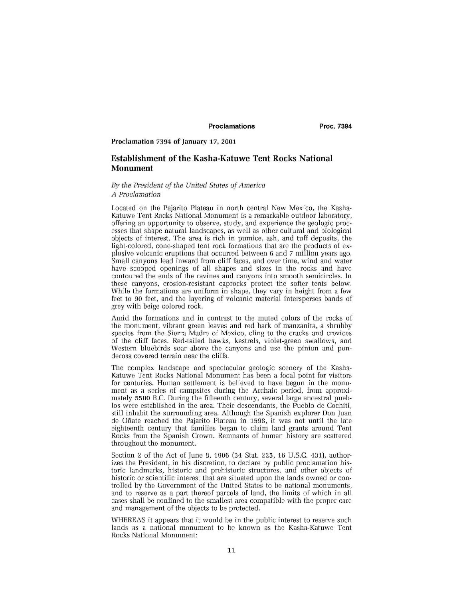# Proclamations **Proc. 7394**

## **Proclamation 7394 of January 17, 2001**

# Establishment of the Kasha-Katuwe Tent Rocks National Monument

## *By the President of the United States of America A Proclamation*

Located on the Pajarito Plateau in north central New Mexico, the Kasha-Katuwe Tent Rocks National Monument is a remarkable outdoor laboratory, offering an opportunity to observe, study, and experience the geologic processes that shape natural landscapes, as well as other cultural and biological objects of interest. The area is rich in pumice, ash, and tuff deposits, the light-colored, cone-shaped tent rock formations that are the products of explosive volcanic eruptions that occurred between 6 and 7 million years ago. Small canyons lead inward from cliff faces, and over time, wind and water have scooped openings of all shapes and sizes in the rocks and have contoured the ends of the ravines and canyons into smooth semicircles. In these canyons, erosion-resistant caprocks protect the softer tents below. While the formations are uniform in shape, they vary in height from a few feet to 90 feet, and the layering of volcanic material intersperses bands of grey with beige colored rock.

Amid the formations and in contrast to the muted colors of the rocks of the monument, vibrant green leaves and red bark of manzanita, a shrubby species from the Sierra Madre of Mexico, cling to the cracks and crevices of the cliff faces. Red-tailed hawks, kestrels, violet-green swallows, and Western bluebirds soar above the canyons and use the pinion and ponderosa covered terrain near the cliffs.

The complex landscape and spectacular geologic scenery of the Kasha-Katuwe Tent Rocks National Monument has been a focal point for visitors for centuries. Human settlement is believed to have begun in the monument as a series of campsites during the Archaic period, from approximately 5500 B.C. During the fifteenth century, several large ancestral pueblos were established in the area. Their descendants, the Pueblo de Cochiti, still inhabit the surrounding area. Although the Spanish explorer Don Juan de Onate reached the Pajarito Plateau in 1598, it was not until the late eighteenth century that families began to claim land grants around Tent Rocks from the Spanish Crown. Remnants of human history are scattered throughout the monument.

Section 2 of the Act of June 8, 1906 (34 Stat. 225, 16 U.S.C. 431), authorizes the President, in his discretion, to declare by public proclamation historic landmarks, historic and prehistoric structures, and other objects of historic or scientific interest that are situated upon the lands owned or controlled by the Government of the United States to be national monuments, and to reserve as a part thereof parcels of land, the limits of which in all cases shall be confined to the smallest area compatible with the proper care and management of the objects to be protected.

WHEREAS it appears that it would be in the public interest to reserve such lands as a national monument to be known as the Kasha-Katuwe Tent Rocks National Monument: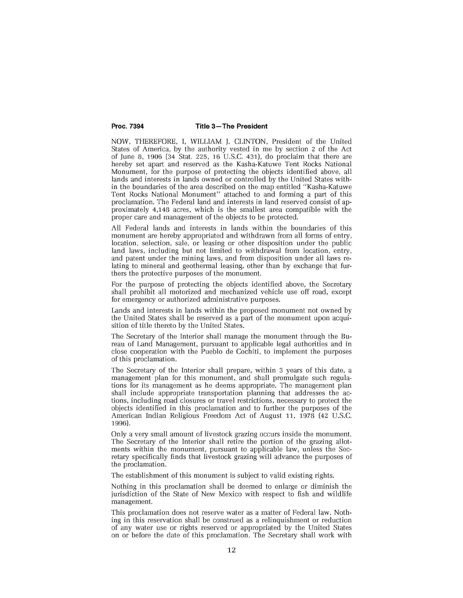## Proc. 7394 Title 3-The President

NOW, THEREFORE, I, WILLIAM J. CLINTON, President of the United States of America, by the authority vested in me by section 2 of the Act of June 8, 1906 (34 Stat. 225, 16 U.S.C. 431), do proclaim that there are hereby set apart and reserved as the Kasha-Katuwe Tent Rocks National Monument, for the purpose of protecting the objects identified above, all lands and interests in lands owned or controlled by the United States within the boundaries of the area described on the map entitled "Kasha-Katuwe Tent Rocks National Monument" attached to and forming a part of this proclamation. The Federal land and interests in land reserved consist of approximately 4,148 acres, which is the smallest area compatible with the proper care and management of the objects to be protected.

All Federal lands and interests in lands within the boundaries of this monument are hereby appropriated and withdrawn from all forms of entry, location, selection, sale, or leasing or other disposition under the public land laws, including but not limited to withdrawal from location, entry, and patent under the mining laws, and from disposition under all laws relating to mineral and geothermal leasing, other than by exchange that furthers the protective purposes of the monument.

For the purpose of protecting the objects identified above, the Secretary shall prohibit all motorized and mechanized vehicle use off road, except for emergency or authorized administrative purposes.

Lands and interests in lands within the proposed monument not owned by the United States shall be reserved as a part of the monument upon acquisition of title thereto by the United States.

The Secretary of the Interior shall manage the monument through the Bureau of Land Management, pursuant to applicable legal authorities and in close cooperation with the Pueblo de Cochiti, to implement the purposes of this proclamation.

The Secretary of the Interior shall prepare, within 3 years of this date, a management plan for this monument, and shall promulgate such regulations for its management as he deems appropriate. The management plan shall include appropriate transportation planning that addresses the actions, including road closures or travel restrictions, necessary to protect the objects identified in this proclamation and to further the purposes of the American Indian Religious Freedom Act of August 11, 1978 (42 U.S.C. 1996).

Only a very small amount of livestock grazing occurs inside the monument. The Secretary of the Interior shall retire the portion of the grazing allotments within the monument, pursuant to applicable law, unless the Secretary specifically finds that livestock grazing will advance the purposes of the proclamation.

The establishment of this monument is subject to valid existing rights.

Nothing in this proclamation shall be deemed to enlarge or diminish the jurisdiction of the State of New Mexico with respect to fish and wildlife management.

This proclamation does not reserve water as a matter of Federal law. Nothing in this reservation shall be construed as a relinquishment or reduction of any water use or rights reserved or appropriated by the United States on or before the date of this proclamation. The Secretary shall work with